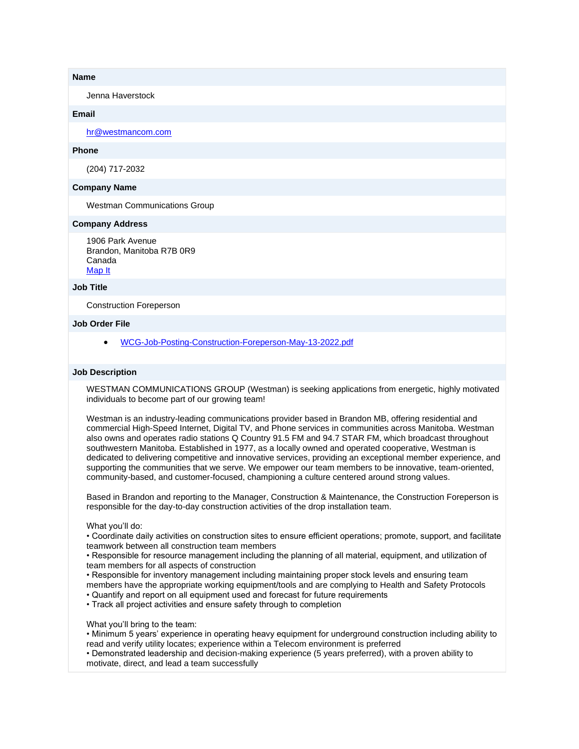#### **Name**

Jenna Haverstock

# **Email**

[hr@westmancom.com](mailto:hr@westmancom.com)

# **Phone**

(204) 717-2032

### **Company Name**

Westman Communications Group

### **Company Address**

1906 Park Avenue Brandon, Manitoba R7B 0R9 Canada [Map It](http://maps.google.com/maps?q=1906+Park+Avenue+Brandon%2C+Manitoba+R7B+0R9+Canada)

#### **Job Title**

Construction Foreperson

#### **Job Order File**

• [WCG-Job-Posting-Construction-Foreperson-May-13-2022.pdf](https://manitobastart.com/index.php?gf-download=2022%2F05%2FWCG-Job-Posting-Construction-Foreperson-May-13-2022.pdf&form-id=2&field-id=8&hash=6d8cf9f09fca7da0634159acaaac0e360ff59f6b0d5677874452623cda935a31)

#### **Job Description**

WESTMAN COMMUNICATIONS GROUP (Westman) is seeking applications from energetic, highly motivated individuals to become part of our growing team!

Westman is an industry-leading communications provider based in Brandon MB, offering residential and commercial High-Speed Internet, Digital TV, and Phone services in communities across Manitoba. Westman also owns and operates radio stations Q Country 91.5 FM and 94.7 STAR FM, which broadcast throughout southwestern Manitoba. Established in 1977, as a locally owned and operated cooperative, Westman is dedicated to delivering competitive and innovative services, providing an exceptional member experience, and supporting the communities that we serve. We empower our team members to be innovative, team-oriented, community-based, and customer-focused, championing a culture centered around strong values.

Based in Brandon and reporting to the Manager, Construction & Maintenance, the Construction Foreperson is responsible for the day-to-day construction activities of the drop installation team.

#### What you'll do:

• Coordinate daily activities on construction sites to ensure efficient operations; promote, support, and facilitate teamwork between all construction team members

• Responsible for resource management including the planning of all material, equipment, and utilization of team members for all aspects of construction

- Responsible for inventory management including maintaining proper stock levels and ensuring team members have the appropriate working equipment/tools and are complying to Health and Safety Protocols
- Quantify and report on all equipment used and forecast for future requirements

• Track all project activities and ensure safety through to completion

What you'll bring to the team:

• Minimum 5 years' experience in operating heavy equipment for underground construction including ability to read and verify utility locates; experience within a Telecom environment is preferred

• Demonstrated leadership and decision-making experience (5 years preferred), with a proven ability to motivate, direct, and lead a team successfully